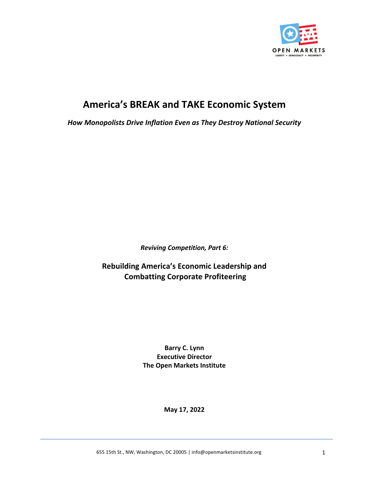

# **America's BREAK and TAKE Economic System**

**How Monopolists Drive Inflation Even as They Destroy National Security** 

*Reviving Competition, Part 6:*

**Rebuilding America's Economic Leadership and Combatting Corporate Profiteering**

> **Barry C. Lynn Executive Director The Open Markets Institute**

> > **May 17, 2022**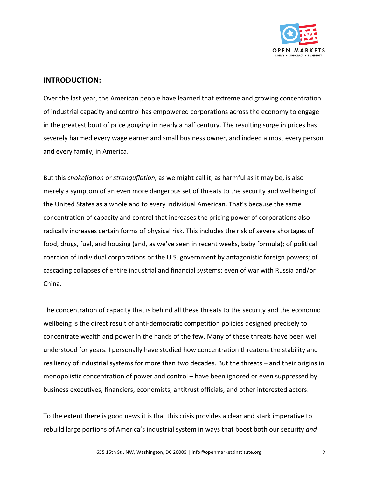

#### **INTRODUCTION:**

Over the last year, the American people have learned that extreme and growing concentration of industrial capacity and control has empowered corporations across the economy to engage in the greatest bout of price gouging in nearly a half century. The resulting surge in prices has severely harmed every wage earner and small business owner, and indeed almost every person and every family, in America.

But this *chokeflation* or *stranguflation*, as we might call it, as harmful as it may be, is also merely a symptom of an even more dangerous set of threats to the security and wellbeing of the United States as a whole and to every individual American. That's because the same concentration of capacity and control that increases the pricing power of corporations also radically increases certain forms of physical risk. This includes the risk of severe shortages of food, drugs, fuel, and housing (and, as we've seen in recent weeks, baby formula); of political coercion of individual corporations or the U.S. government by antagonistic foreign powers; of cascading collapses of entire industrial and financial systems; even of war with Russia and/or China.

The concentration of capacity that is behind all these threats to the security and the economic wellbeing is the direct result of anti-democratic competition policies designed precisely to concentrate wealth and power in the hands of the few. Many of these threats have been well understood for years. I personally have studied how concentration threatens the stability and resiliency of industrial systems for more than two decades. But the threats – and their origins in monopolistic concentration of power and control – have been ignored or even suppressed by business executives, financiers, economists, antitrust officials, and other interested actors.

To the extent there is good news it is that this crisis provides a clear and stark imperative to rebuild large portions of America's industrial system in ways that boost both our security and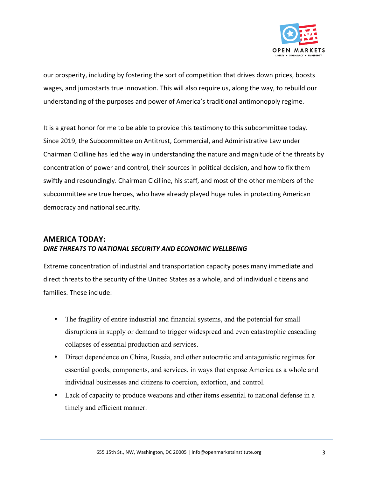

our prosperity, including by fostering the sort of competition that drives down prices, boosts wages, and jumpstarts true innovation. This will also require us, along the way, to rebuild our understanding of the purposes and power of America's traditional antimonopoly regime.

It is a great honor for me to be able to provide this testimony to this subcommittee today. Since 2019, the Subcommittee on Antitrust, Commercial, and Administrative Law under Chairman Cicilline has led the way in understanding the nature and magnitude of the threats by concentration of power and control, their sources in political decision, and how to fix them swiftly and resoundingly. Chairman Cicilline, his staff, and most of the other members of the subcommittee are true heroes, who have already played huge rules in protecting American democracy and national security.

## **AMERICA TODAY:** DIRE THREATS TO NATIONAL SECURITY AND ECONOMIC WELLBEING

Extreme concentration of industrial and transportation capacity poses many immediate and direct threats to the security of the United States as a whole, and of individual citizens and families. These include:

- The fragility of entire industrial and financial systems, and the potential for small disruptions in supply or demand to trigger widespread and even catastrophic cascading collapses of essential production and services.
- Direct dependence on China, Russia, and other autocratic and antagonistic regimes for essential goods, components, and services, in ways that expose America as a whole and individual businesses and citizens to coercion, extortion, and control.
- Lack of capacity to produce weapons and other items essential to national defense in a timely and efficient manner.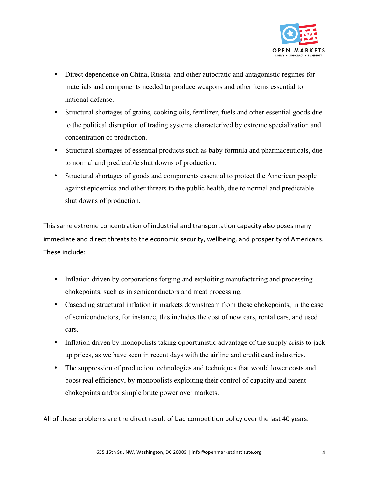

- Direct dependence on China, Russia, and other autocratic and antagonistic regimes for materials and components needed to produce weapons and other items essential to national defense.
- Structural shortages of grains, cooking oils, fertilizer, fuels and other essential goods due to the political disruption of trading systems characterized by extreme specialization and concentration of production.
- Structural shortages of essential products such as baby formula and pharmaceuticals, due to normal and predictable shut downs of production.
- Structural shortages of goods and components essential to protect the American people against epidemics and other threats to the public health, due to normal and predictable shut downs of production.

This same extreme concentration of industrial and transportation capacity also poses many immediate and direct threats to the economic security, wellbeing, and prosperity of Americans. These include:

- Inflation driven by corporations forging and exploiting manufacturing and processing chokepoints, such as in semiconductors and meat processing.
- Cascading structural inflation in markets downstream from these chokepoints; in the case of semiconductors, for instance, this includes the cost of new cars, rental cars, and used cars.
- Inflation driven by monopolists taking opportunistic advantage of the supply crisis to jack up prices, as we have seen in recent days with the airline and credit card industries.
- The suppression of production technologies and techniques that would lower costs and boost real efficiency, by monopolists exploiting their control of capacity and patent chokepoints and/or simple brute power over markets.

All of these problems are the direct result of bad competition policy over the last 40 years.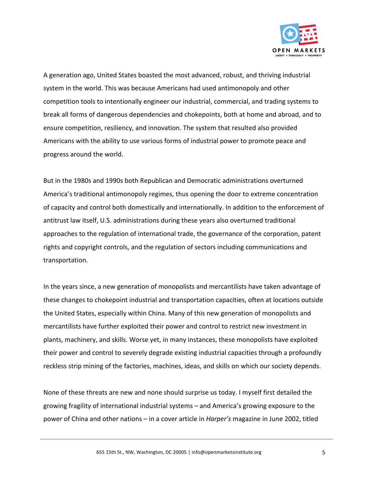

A generation ago, United States boasted the most advanced, robust, and thriving industrial system in the world. This was because Americans had used antimonopoly and other competition tools to intentionally engineer our industrial, commercial, and trading systems to break all forms of dangerous dependencies and chokepoints, both at home and abroad, and to ensure competition, resiliency, and innovation. The system that resulted also provided Americans with the ability to use various forms of industrial power to promote peace and progress around the world.

But in the 1980s and 1990s both Republican and Democratic administrations overturned America's traditional antimonopoly regimes, thus opening the door to extreme concentration of capacity and control both domestically and internationally. In addition to the enforcement of antitrust law itself, U.S. administrations during these years also overturned traditional approaches to the regulation of international trade, the governance of the corporation, patent rights and copyright controls, and the regulation of sectors including communications and transportation. 

In the years since, a new generation of monopolists and mercantilists have taken advantage of these changes to chokepoint industrial and transportation capacities, often at locations outside the United States, especially within China. Many of this new generation of monopolists and mercantilists have further exploited their power and control to restrict new investment in plants, machinery, and skills. Worse yet, in many instances, these monopolists have exploited their power and control to severely degrade existing industrial capacities through a profoundly reckless strip mining of the factories, machines, ideas, and skills on which our society depends.

None of these threats are new and none should surprise us today. I myself first detailed the growing fragility of international industrial systems – and America's growing exposure to the power of China and other nations - in a cover article in *Harper's* magazine in June 2002, titled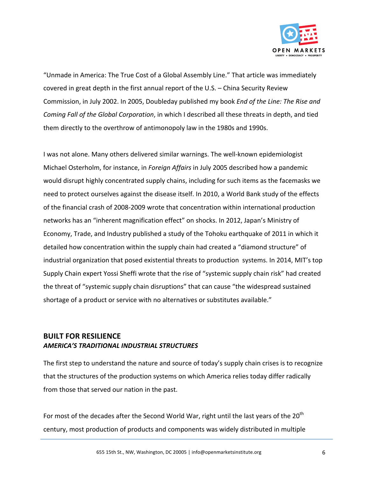

"Unmade in America: The True Cost of a Global Assembly Line." That article was immediately covered in great depth in the first annual report of the U.S. – China Security Review Commission, in July 2002. In 2005, Doubleday published my book *End of the Line: The Rise and Coming Fall of the Global Corporation*, in which I described all these threats in depth, and tied them directly to the overthrow of antimonopoly law in the 1980s and 1990s.

I was not alone. Many others delivered similar warnings. The well-known epidemiologist Michael Osterholm, for instance, in *Foreign Affairs* in July 2005 described how a pandemic would disrupt highly concentrated supply chains, including for such items as the facemasks we need to protect ourselves against the disease itself. In 2010, a World Bank study of the effects of the financial crash of 2008-2009 wrote that concentration within international production networks has an "inherent magnification effect" on shocks. In 2012, Japan's Ministry of Economy, Trade, and Industry published a study of the Tohoku earthquake of 2011 in which it detailed how concentration within the supply chain had created a "diamond structure" of industrial organization that posed existential threats to production systems. In 2014, MIT's top Supply Chain expert Yossi Sheffi wrote that the rise of "systemic supply chain risk" had created the threat of "systemic supply chain disruptions" that can cause "the widespread sustained shortage of a product or service with no alternatives or substitutes available."

#### **BUILT FOR RESILIENCE** *AMERICA'S TRADITIONAL INDUSTRIAL STRUCTURES*

The first step to understand the nature and source of today's supply chain crises is to recognize that the structures of the production systems on which America relies today differ radically from those that served our nation in the past.

For most of the decades after the Second World War, right until the last years of the  $20<sup>th</sup>$ century, most production of products and components was widely distributed in multiple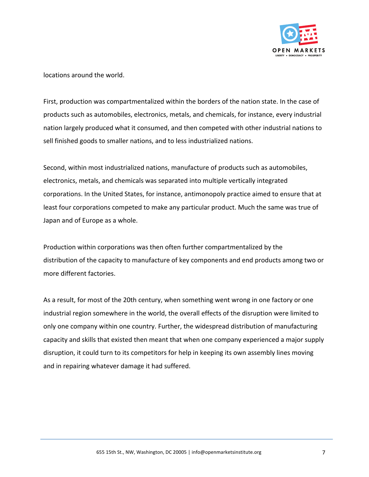

locations around the world.

First, production was compartmentalized within the borders of the nation state. In the case of products such as automobiles, electronics, metals, and chemicals, for instance, every industrial nation largely produced what it consumed, and then competed with other industrial nations to sell finished goods to smaller nations, and to less industrialized nations.

Second, within most industrialized nations, manufacture of products such as automobiles, electronics, metals, and chemicals was separated into multiple vertically integrated corporations. In the United States, for instance, antimonopoly practice aimed to ensure that at least four corporations competed to make any particular product. Much the same was true of Japan and of Europe as a whole.

Production within corporations was then often further compartmentalized by the distribution of the capacity to manufacture of key components and end products among two or more different factories.

As a result, for most of the 20th century, when something went wrong in one factory or one industrial region somewhere in the world, the overall effects of the disruption were limited to only one company within one country. Further, the widespread distribution of manufacturing capacity and skills that existed then meant that when one company experienced a major supply disruption, it could turn to its competitors for help in keeping its own assembly lines moving and in repairing whatever damage it had suffered.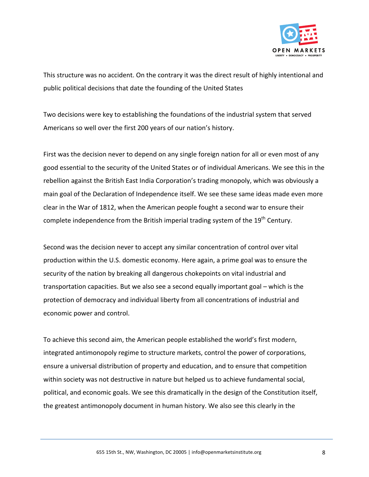

This structure was no accident. On the contrary it was the direct result of highly intentional and public political decisions that date the founding of the United States

Two decisions were key to establishing the foundations of the industrial system that served Americans so well over the first 200 years of our nation's history.

First was the decision never to depend on any single foreign nation for all or even most of any good essential to the security of the United States or of individual Americans. We see this in the rebellion against the British East India Corporation's trading monopoly, which was obviously a main goal of the Declaration of Independence itself. We see these same ideas made even more clear in the War of 1812, when the American people fought a second war to ensure their complete independence from the British imperial trading system of the  $19<sup>th</sup>$  Century.

Second was the decision never to accept any similar concentration of control over vital production within the U.S. domestic economy. Here again, a prime goal was to ensure the security of the nation by breaking all dangerous chokepoints on vital industrial and transportation capacities. But we also see a second equally important goal – which is the protection of democracy and individual liberty from all concentrations of industrial and economic power and control.

To achieve this second aim, the American people established the world's first modern, integrated antimonopoly regime to structure markets, control the power of corporations, ensure a universal distribution of property and education, and to ensure that competition within society was not destructive in nature but helped us to achieve fundamental social, political, and economic goals. We see this dramatically in the design of the Constitution itself, the greatest antimonopoly document in human history. We also see this clearly in the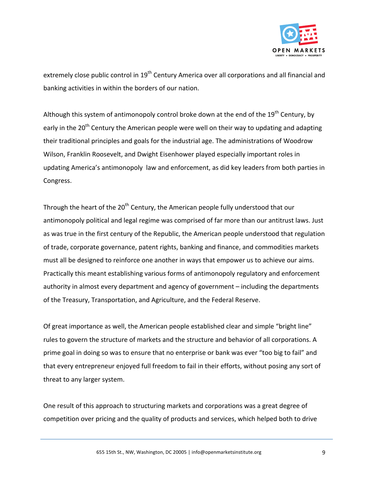

extremely close public control in 19<sup>th</sup> Century America over all corporations and all financial and banking activities in within the borders of our nation.

Although this system of antimonopoly control broke down at the end of the 19<sup>th</sup> Century, by early in the  $20<sup>th</sup>$  Century the American people were well on their way to updating and adapting their traditional principles and goals for the industrial age. The administrations of Woodrow Wilson, Franklin Roosevelt, and Dwight Eisenhower played especially important roles in updating America's antimonopoly law and enforcement, as did key leaders from both parties in Congress.

Through the heart of the  $20<sup>th</sup>$  Century, the American people fully understood that our antimonopoly political and legal regime was comprised of far more than our antitrust laws. Just as was true in the first century of the Republic, the American people understood that regulation of trade, corporate governance, patent rights, banking and finance, and commodities markets must all be designed to reinforce one another in ways that empower us to achieve our aims. Practically this meant establishing various forms of antimonopoly regulatory and enforcement authority in almost every department and agency of government - including the departments of the Treasury, Transportation, and Agriculture, and the Federal Reserve.

Of great importance as well, the American people established clear and simple "bright line" rules to govern the structure of markets and the structure and behavior of all corporations. A prime goal in doing so was to ensure that no enterprise or bank was ever "too big to fail" and that every entrepreneur enjoyed full freedom to fail in their efforts, without posing any sort of threat to any larger system.

One result of this approach to structuring markets and corporations was a great degree of competition over pricing and the quality of products and services, which helped both to drive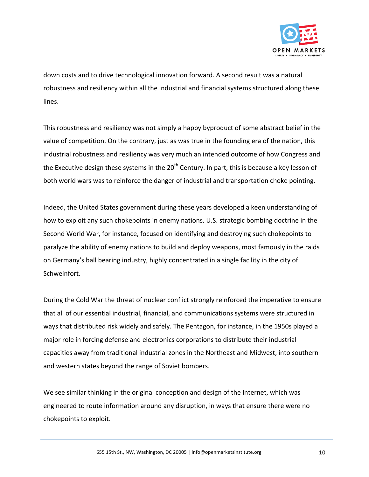

down costs and to drive technological innovation forward. A second result was a natural robustness and resiliency within all the industrial and financial systems structured along these lines.

This robustness and resiliency was not simply a happy byproduct of some abstract belief in the value of competition. On the contrary, just as was true in the founding era of the nation, this industrial robustness and resiliency was very much an intended outcome of how Congress and the Executive design these systems in the  $20<sup>th</sup>$  Century. In part, this is because a key lesson of both world wars was to reinforce the danger of industrial and transportation choke pointing.

Indeed, the United States government during these years developed a keen understanding of how to exploit any such chokepoints in enemy nations. U.S. strategic bombing doctrine in the Second World War, for instance, focused on identifying and destroying such chokepoints to paralyze the ability of enemy nations to build and deploy weapons, most famously in the raids on Germany's ball bearing industry, highly concentrated in a single facility in the city of Schweinfort.

During the Cold War the threat of nuclear conflict strongly reinforced the imperative to ensure that all of our essential industrial, financial, and communications systems were structured in ways that distributed risk widely and safely. The Pentagon, for instance, in the 1950s played a major role in forcing defense and electronics corporations to distribute their industrial capacities away from traditional industrial zones in the Northeast and Midwest, into southern and western states beyond the range of Soviet bombers.

We see similar thinking in the original conception and design of the Internet, which was engineered to route information around any disruption, in ways that ensure there were no chokepoints to exploit.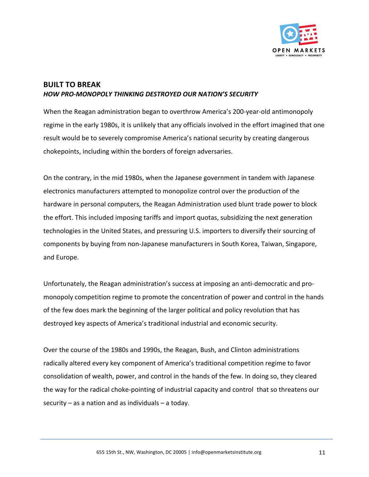

## **BUILT TO BREAK** *HOW PRO-MONOPOLY THINKING DESTROYED OUR NATION'S SECURITY*

When the Reagan administration began to overthrow America's 200-year-old antimonopoly regime in the early 1980s, it is unlikely that any officials involved in the effort imagined that one result would be to severely compromise America's national security by creating dangerous chokepoints, including within the borders of foreign adversaries.

On the contrary, in the mid 1980s, when the Japanese government in tandem with Japanese electronics manufacturers attempted to monopolize control over the production of the hardware in personal computers, the Reagan Administration used blunt trade power to block the effort. This included imposing tariffs and import quotas, subsidizing the next generation technologies in the United States, and pressuring U.S. importers to diversify their sourcing of components by buying from non-Japanese manufacturers in South Korea, Taiwan, Singapore, and Europe.

Unfortunately, the Reagan administration's success at imposing an anti-democratic and promonopoly competition regime to promote the concentration of power and control in the hands of the few does mark the beginning of the larger political and policy revolution that has destroyed key aspects of America's traditional industrial and economic security.

Over the course of the 1980s and 1990s, the Reagan, Bush, and Clinton administrations radically altered every key component of America's traditional competition regime to favor consolidation of wealth, power, and control in the hands of the few. In doing so, they cleared the way for the radical choke-pointing of industrial capacity and control that so threatens our security  $-$  as a nation and as individuals  $-$  a today.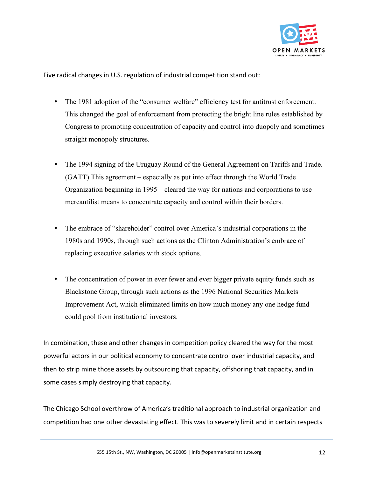

Five radical changes in U.S. regulation of industrial competition stand out:

- The 1981 adoption of the "consumer welfare" efficiency test for antitrust enforcement. This changed the goal of enforcement from protecting the bright line rules established by Congress to promoting concentration of capacity and control into duopoly and sometimes straight monopoly structures.
- The 1994 signing of the Uruguay Round of the General Agreement on Tariffs and Trade. (GATT) This agreement – especially as put into effect through the World Trade Organization beginning in 1995 – cleared the way for nations and corporations to use mercantilist means to concentrate capacity and control within their borders.
- The embrace of "shareholder" control over America's industrial corporations in the 1980s and 1990s, through such actions as the Clinton Administration's embrace of replacing executive salaries with stock options.
- The concentration of power in ever fewer and ever bigger private equity funds such as Blackstone Group, through such actions as the 1996 National Securities Markets Improvement Act, which eliminated limits on how much money any one hedge fund could pool from institutional investors.

In combination, these and other changes in competition policy cleared the way for the most powerful actors in our political economy to concentrate control over industrial capacity, and then to strip mine those assets by outsourcing that capacity, offshoring that capacity, and in some cases simply destroying that capacity.

The Chicago School overthrow of America's traditional approach to industrial organization and competition had one other devastating effect. This was to severely limit and in certain respects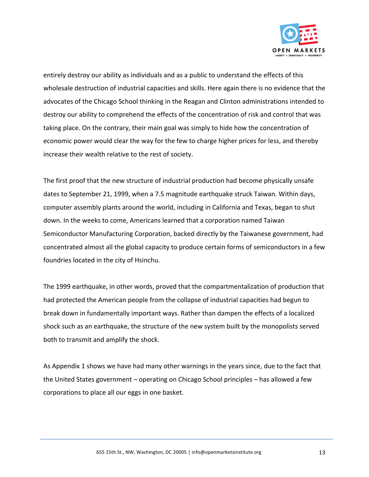

entirely destroy our ability as individuals and as a public to understand the effects of this wholesale destruction of industrial capacities and skills. Here again there is no evidence that the advocates of the Chicago School thinking in the Reagan and Clinton administrations intended to destroy our ability to comprehend the effects of the concentration of risk and control that was taking place. On the contrary, their main goal was simply to hide how the concentration of economic power would clear the way for the few to charge higher prices for less, and thereby increase their wealth relative to the rest of society.

The first proof that the new structure of industrial production had become physically unsafe dates to September 21, 1999, when a 7.5 magnitude earthquake struck Taiwan. Within days, computer assembly plants around the world, including in California and Texas, began to shut down. In the weeks to come, Americans learned that a corporation named Taiwan Semiconductor Manufacturing Corporation, backed directly by the Taiwanese government, had concentrated almost all the global capacity to produce certain forms of semiconductors in a few foundries located in the city of Hsinchu.

The 1999 earthquake, in other words, proved that the compartmentalization of production that had protected the American people from the collapse of industrial capacities had begun to break down in fundamentally important ways. Rather than dampen the effects of a localized shock such as an earthquake, the structure of the new system built by the monopolists served both to transmit and amplify the shock.

As Appendix 1 shows we have had many other warnings in the years since, due to the fact that the United States government – operating on Chicago School principles – has allowed a few corporations to place all our eggs in one basket.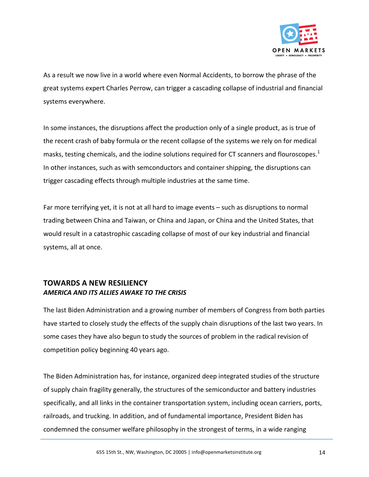

As a result we now live in a world where even Normal Accidents, to borrow the phrase of the great systems expert Charles Perrow, can trigger a cascading collapse of industrial and financial systems everywhere.

In some instances, the disruptions affect the production only of a single product, as is true of the recent crash of baby formula or the recent collapse of the systems we rely on for medical masks, testing chemicals, and the iodine solutions required for CT scanners and flouroscopes.<sup>1</sup> In other instances, such as with semconductors and container shipping, the disruptions can trigger cascading effects through multiple industries at the same time.

Far more terrifying yet, it is not at all hard to image events – such as disruptions to normal trading between China and Taiwan, or China and Japan, or China and the United States, that would result in a catastrophic cascading collapse of most of our key industrial and financial systems, all at once.

#### **TOWARDS A NEW RESILIENCY** *AMERICA AND ITS ALLIES AWAKE TO THE CRISIS*

The last Biden Administration and a growing number of members of Congress from both parties have started to closely study the effects of the supply chain disruptions of the last two years. In some cases they have also begun to study the sources of problem in the radical revision of competition policy beginning 40 years ago.

The Biden Administration has, for instance, organized deep integrated studies of the structure of supply chain fragility generally, the structures of the semiconductor and battery industries specifically, and all links in the container transportation system, including ocean carriers, ports, railroads, and trucking. In addition, and of fundamental importance, President Biden has condemned the consumer welfare philosophy in the strongest of terms, in a wide ranging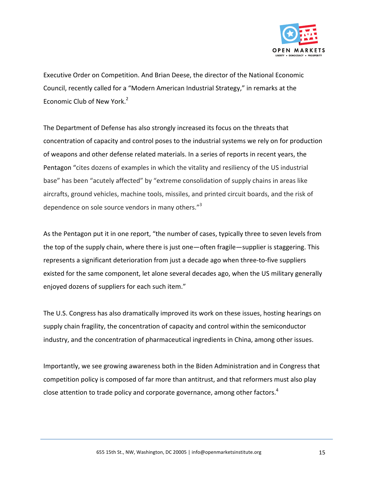

Executive Order on Competition. And Brian Deese, the director of the National Economic Council, recently called for a "Modern American Industrial Strategy," in remarks at the Economic Club of New York. $2$ 

The Department of Defense has also strongly increased its focus on the threats that concentration of capacity and control poses to the industrial systems we rely on for production of weapons and other defense related materials. In a series of reports in recent years, the Pentagon "cites dozens of examples in which the vitality and resiliency of the US industrial base" has been "acutely affected" by "extreme consolidation of supply chains in areas like aircrafts, ground vehicles, machine tools, missiles, and printed circuit boards, and the risk of dependence on sole source vendors in many others. $^{3}$ 

As the Pentagon put it in one report, "the number of cases, typically three to seven levels from the top of the supply chain, where there is just one—often fragile—supplier is staggering. This represents a significant deterioration from just a decade ago when three-to-five suppliers existed for the same component, let alone several decades ago, when the US military generally enjoyed dozens of suppliers for each such item."

The U.S. Congress has also dramatically improved its work on these issues, hosting hearings on supply chain fragility, the concentration of capacity and control within the semiconductor industry, and the concentration of pharmaceutical ingredients in China, among other issues.

Importantly, we see growing awareness both in the Biden Administration and in Congress that competition policy is composed of far more than antitrust, and that reformers must also play close attention to trade policy and corporate governance, among other factors.<sup>4</sup>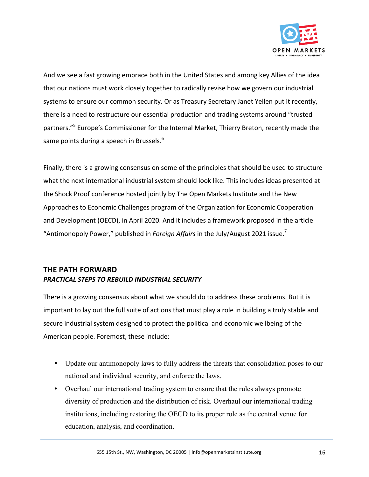

And we see a fast growing embrace both in the United States and among key Allies of the idea that our nations must work closely together to radically revise how we govern our industrial systems to ensure our common security. Or as Treasury Secretary Janet Yellen put it recently, there is a need to restructure our essential production and trading systems around "trusted partners."<sup>5</sup> Europe's Commissioner for the Internal Market, Thierry Breton, recently made the same points during a speech in Brussels.<sup>6</sup>

Finally, there is a growing consensus on some of the principles that should be used to structure what the next international industrial system should look like. This includes ideas presented at the Shock Proof conference hosted jointly by The Open Markets Institute and the New Approaches to Economic Challenges program of the Organization for Economic Cooperation and Development (OECD), in April 2020. And it includes a framework proposed in the article "Antimonopoly Power," published in *Foreign Affairs* in the July/August 2021 issue.<sup>7</sup>

### **THE PATH FORWARD** *PRACTICAL STEPS TO REBUILD INDUSTRIAL SECURITY*

There is a growing consensus about what we should do to address these problems. But it is important to lay out the full suite of actions that must play a role in building a truly stable and secure industrial system designed to protect the political and economic wellbeing of the American people. Foremost, these include:

- Update our antimonopoly laws to fully address the threats that consolidation poses to our national and individual security, and enforce the laws.
- Overhaul our international trading system to ensure that the rules always promote diversity of production and the distribution of risk. Overhaul our international trading institutions, including restoring the OECD to its proper role as the central venue for education, analysis, and coordination.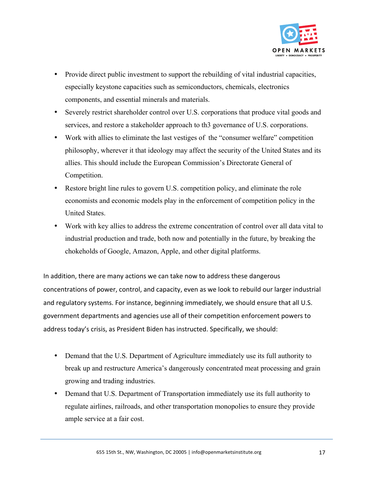

- Provide direct public investment to support the rebuilding of vital industrial capacities, especially keystone capacities such as semiconductors, chemicals, electronics components, and essential minerals and materials.
- Severely restrict shareholder control over U.S. corporations that produce vital goods and services, and restore a stakeholder approach to th3 governance of U.S. corporations.
- Work with allies to eliminate the last vestiges of the "consumer welfare" competition philosophy, wherever it that ideology may affect the security of the United States and its allies. This should include the European Commission's Directorate General of Competition.
- Restore bright line rules to govern U.S. competition policy, and eliminate the role economists and economic models play in the enforcement of competition policy in the United States.
- Work with key allies to address the extreme concentration of control over all data vital to industrial production and trade, both now and potentially in the future, by breaking the chokeholds of Google, Amazon, Apple, and other digital platforms.

In addition, there are many actions we can take now to address these dangerous concentrations of power, control, and capacity, even as we look to rebuild our larger industrial and regulatory systems. For instance, beginning immediately, we should ensure that all U.S. government departments and agencies use all of their competition enforcement powers to address today's crisis, as President Biden has instructed. Specifically, we should:

- Demand that the U.S. Department of Agriculture immediately use its full authority to break up and restructure America's dangerously concentrated meat processing and grain growing and trading industries.
- Demand that U.S. Department of Transportation immediately use its full authority to regulate airlines, railroads, and other transportation monopolies to ensure they provide ample service at a fair cost.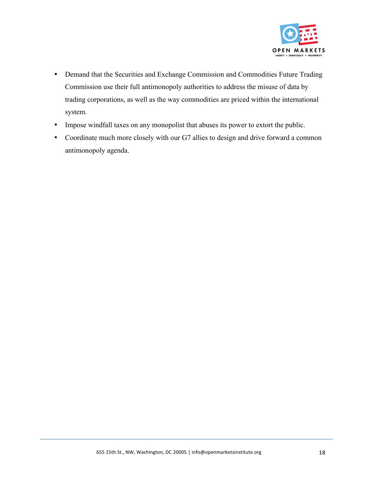

- Demand that the Securities and Exchange Commission and Commodities Future Trading Commission use their full antimonopoly authorities to address the misuse of data by trading corporations, as well as the way commodities are priced within the international system.
- Impose windfall taxes on any monopolist that abuses its power to extort the public.
- Coordinate much more closely with our G7 allies to design and drive forward a common antimonopoly agenda.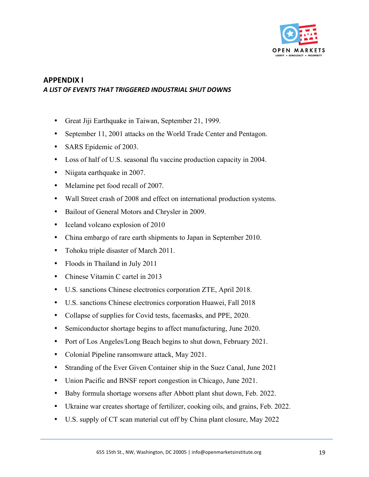

#### **APPENDIX I** *A LIST OF EVENTS THAT TRIGGERED INDUSTRIAL SHUT DOWNS*

- Great Jiji Earthquake in Taiwan, September 21, 1999.
- September 11, 2001 attacks on the World Trade Center and Pentagon.
- SARS Epidemic of 2003.
- Loss of half of U.S. seasonal flu vaccine production capacity in 2004.
- Niigata earthquake in 2007.
- Melamine pet food recall of 2007.
- Wall Street crash of 2008 and effect on international production systems.
- Bailout of General Motors and Chrysler in 2009.
- Iceland volcano explosion of 2010
- China embargo of rare earth shipments to Japan in September 2010.
- Tohoku triple disaster of March 2011.
- Floods in Thailand in July 2011
- Chinese Vitamin C cartel in 2013
- U.S. sanctions Chinese electronics corporation ZTE, April 2018.
- U.S. sanctions Chinese electronics corporation Huawei, Fall 2018
- Collapse of supplies for Covid tests, facemasks, and PPE, 2020.
- Semiconductor shortage begins to affect manufacturing, June 2020.
- Port of Los Angeles/Long Beach begins to shut down, February 2021.
- Colonial Pipeline ransomware attack, May 2021.
- Stranding of the Ever Given Container ship in the Suez Canal, June 2021
- Union Pacific and BNSF report congestion in Chicago, June 2021.
- Baby formula shortage worsens after Abbott plant shut down, Feb. 2022.
- Ukraine war creates shortage of fertilizer, cooking oils, and grains, Feb. 2022.
- U.S. supply of CT scan material cut off by China plant closure, May 2022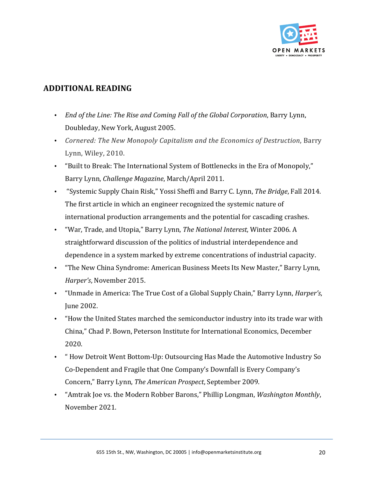

## **ADDITIONAL READING**

- End of the Line: The Rise and Coming Fall of the Global Corporation, Barry Lynn, Doubleday, New York, August 2005.
- *Cornered: The New Monopoly Capitalism and the Economics of Destruction*, Barry Lynn, Wiley, 2010.
- "Built to Break: The International System of Bottlenecks in the Era of Monopoly," Barry Lynn, *Challenge Magazine*, March/April 2011.
- "Systemic Supply Chain Risk," Yossi Sheffi and Barry C. Lynn, *The Bridge*, Fall 2014. The first article in which an engineer recognized the systemic nature of international production arrangements and the potential for cascading crashes.
- "War, Trade, and Utopia," Barry Lynn, *The National Interest*, Winter 2006. A straightforward discussion of the politics of industrial interdependence and dependence in a system marked by extreme concentrations of industrial capacity.
- "The New China Syndrome: American Business Meets Its New Master," Barry Lynn, *Harper's*, November 2015.
- "Unmade in America: The True Cost of a Global Supply Chain," Barry Lynn, *Harper's*, June 2002.
- "How the United States marched the semiconductor industry into its trade war with China," Chad P. Bown, Peterson Institute for International Economics, December 2020.
- "How Detroit Went Bottom-Up: Outsourcing Has Made the Automotive Industry So Co-Dependent and Fragile that One Company's Downfall is Every Company's Concern," Barry Lynn, *The American Prospect*, September 2009.
- "Amtrak Joe vs. the Modern Robber Barons," Phillip Longman, *Washington Monthly*, November 2021.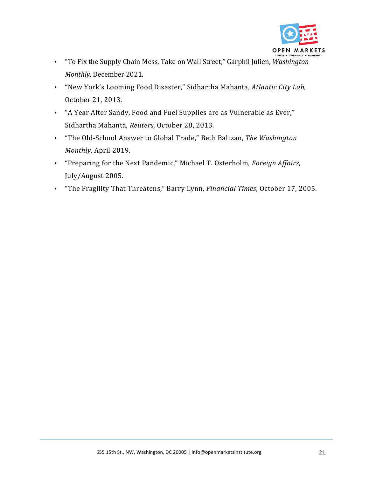

- "To Fix the Supply Chain Mess, Take on Wall Street," Garphil Julien, *Washington Monthly*, December 2021.
- "New York's Looming Food Disaster," Sidhartha Mahanta, *Atlantic City Lab*, October 21, 2013.
- "A Year After Sandy, Food and Fuel Supplies are as Vulnerable as Ever," Sidhartha Mahanta, Reuters, October 28, 2013.
- "The Old-School Answer to Global Trade," Beth Baltzan, The Washington *Monthly*, April 2019.
- "Preparing for the Next Pandemic," Michael T. Osterholm, *Foreign Affairs*, July/August 2005.
- "The Fragility That Threatens," Barry Lynn, *Financial Times*, October 17, 2005.